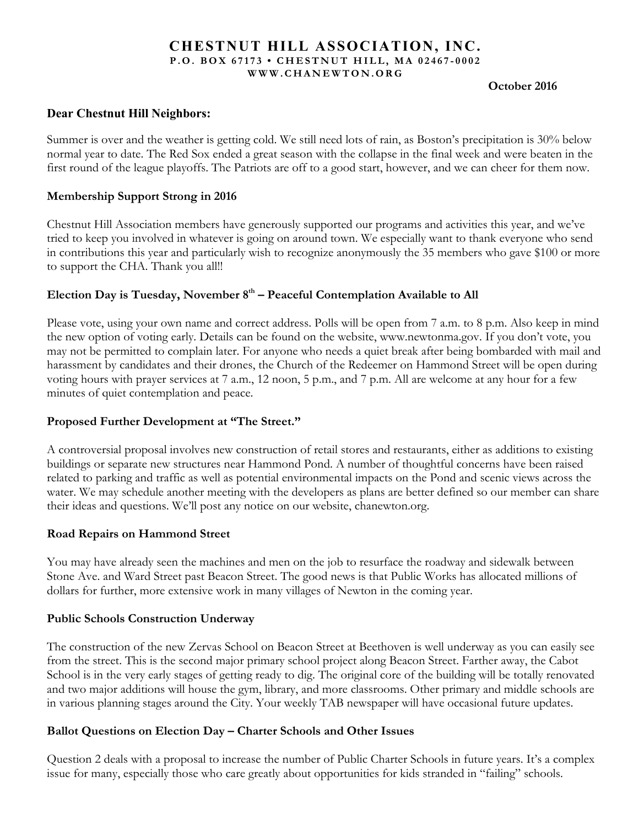## **CHESTNUT HILL ASSOCIATION, INC. P.O. BOX 67173 • CHESTNUT HILL, MA 02467 - 0002 WWW.CHANEWTON.ORG**

#### **October 2016**

# **Dear Chestnut Hill Neighbors:**

Summer is over and the weather is getting cold. We still need lots of rain, as Boston's precipitation is 30% below normal year to date. The Red Sox ended a great season with the collapse in the final week and were beaten in the first round of the league playoffs. The Patriots are off to a good start, however, and we can cheer for them now.

# **Membership Support Strong in 2016**

Chestnut Hill Association members have generously supported our programs and activities this year, and we've tried to keep you involved in whatever is going on around town. We especially want to thank everyone who send in contributions this year and particularly wish to recognize anonymously the 35 members who gave \$100 or more to support the CHA. Thank you all!!

# Election Day is Tuesday, November 8<sup>th</sup> – Peaceful Contemplation Available to All

Please vote, using your own name and correct address. Polls will be open from 7 a.m. to 8 p.m. Also keep in mind the new option of voting early. Details can be found on the website, www.newtonma.gov. If you don't vote, you may not be permitted to complain later. For anyone who needs a quiet break after being bombarded with mail and harassment by candidates and their drones, the Church of the Redeemer on Hammond Street will be open during voting hours with prayer services at 7 a.m., 12 noon, 5 p.m., and 7 p.m. All are welcome at any hour for a few minutes of quiet contemplation and peace.

# **Proposed Further Development at "The Street."**

A controversial proposal involves new construction of retail stores and restaurants, either as additions to existing buildings or separate new structures near Hammond Pond. A number of thoughtful concerns have been raised related to parking and traffic as well as potential environmental impacts on the Pond and scenic views across the water. We may schedule another meeting with the developers as plans are better defined so our member can share their ideas and questions. We'll post any notice on our website, chanewton.org.

## **Road Repairs on Hammond Street**

You may have already seen the machines and men on the job to resurface the roadway and sidewalk between Stone Ave. and Ward Street past Beacon Street. The good news is that Public Works has allocated millions of dollars for further, more extensive work in many villages of Newton in the coming year.

## **Public Schools Construction Underway**

The construction of the new Zervas School on Beacon Street at Beethoven is well underway as you can easily see from the street. This is the second major primary school project along Beacon Street. Farther away, the Cabot School is in the very early stages of getting ready to dig. The original core of the building will be totally renovated and two major additions will house the gym, library, and more classrooms. Other primary and middle schools are in various planning stages around the City. Your weekly TAB newspaper will have occasional future updates.

# **Ballot Questions on Election Day – Charter Schools and Other Issues**

Question 2 deals with a proposal to increase the number of Public Charter Schools in future years. It's a complex issue for many, especially those who care greatly about opportunities for kids stranded in "failing" schools.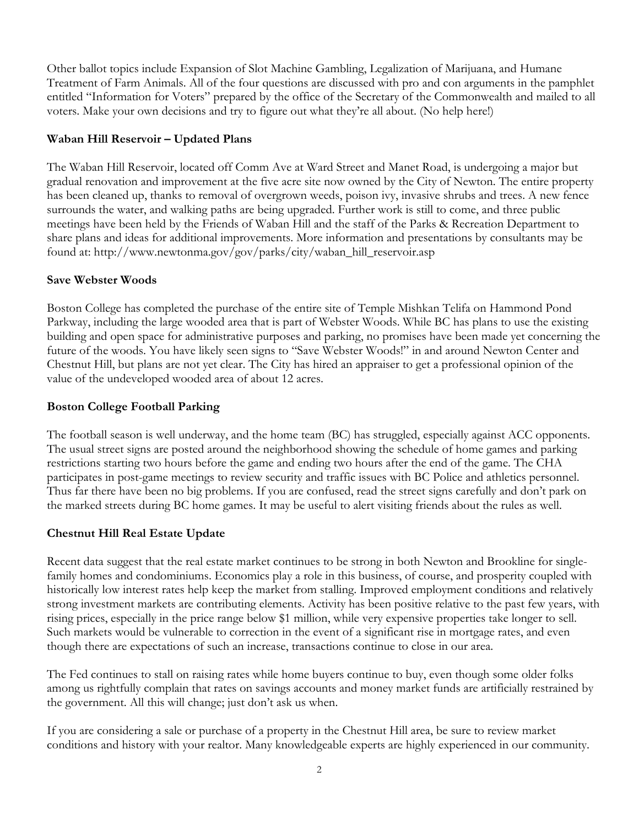Other ballot topics include Expansion of Slot Machine Gambling, Legalization of Marijuana, and Humane Treatment of Farm Animals. All of the four questions are discussed with pro and con arguments in the pamphlet entitled "Information for Voters" prepared by the office of the Secretary of the Commonwealth and mailed to all voters. Make your own decisions and try to figure out what they're all about. (No help here!)

# **Waban Hill Reservoir – Updated Plans**

The Waban Hill Reservoir, located off Comm Ave at Ward Street and Manet Road, is undergoing a major but gradual renovation and improvement at the five acre site now owned by the City of Newton. The entire property has been cleaned up, thanks to removal of overgrown weeds, poison ivy, invasive shrubs and trees. A new fence surrounds the water, and walking paths are being upgraded. Further work is still to come, and three public meetings have been held by the Friends of Waban Hill and the staff of the Parks & Recreation Department to share plans and ideas for additional improvements. More information and presentations by consultants may be found at: http://www.newtonma.gov/gov/parks/city/waban\_hill\_reservoir.asp

## **Save Webster Woods**

Boston College has completed the purchase of the entire site of Temple Mishkan Telifa on Hammond Pond Parkway, including the large wooded area that is part of Webster Woods. While BC has plans to use the existing building and open space for administrative purposes and parking, no promises have been made yet concerning the future of the woods. You have likely seen signs to "Save Webster Woods!" in and around Newton Center and Chestnut Hill, but plans are not yet clear. The City has hired an appraiser to get a professional opinion of the value of the undeveloped wooded area of about 12 acres.

# **Boston College Football Parking**

The football season is well underway, and the home team (BC) has struggled, especially against ACC opponents. The usual street signs are posted around the neighborhood showing the schedule of home games and parking restrictions starting two hours before the game and ending two hours after the end of the game. The CHA participates in post-game meetings to review security and traffic issues with BC Police and athletics personnel. Thus far there have been no big problems. If you are confused, read the street signs carefully and don't park on the marked streets during BC home games. It may be useful to alert visiting friends about the rules as well.

# **Chestnut Hill Real Estate Update**

Recent data suggest that the real estate market continues to be strong in both Newton and Brookline for singlefamily homes and condominiums. Economics play a role in this business, of course, and prosperity coupled with historically low interest rates help keep the market from stalling. Improved employment conditions and relatively strong investment markets are contributing elements. Activity has been positive relative to the past few years, with rising prices, especially in the price range below \$1 million, while very expensive properties take longer to sell. Such markets would be vulnerable to correction in the event of a significant rise in mortgage rates, and even though there are expectations of such an increase, transactions continue to close in our area.

The Fed continues to stall on raising rates while home buyers continue to buy, even though some older folks among us rightfully complain that rates on savings accounts and money market funds are artificially restrained by the government. All this will change; just don't ask us when.

If you are considering a sale or purchase of a property in the Chestnut Hill area, be sure to review market conditions and history with your realtor. Many knowledgeable experts are highly experienced in our community.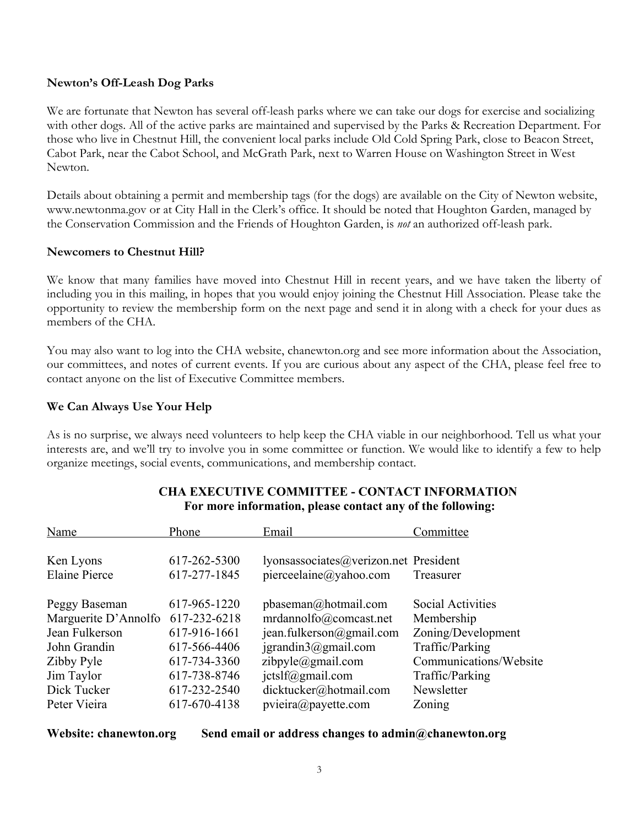# **Newton's Off-Leash Dog Parks**

We are fortunate that Newton has several off-leash parks where we can take our dogs for exercise and socializing with other dogs. All of the active parks are maintained and supervised by the Parks & Recreation Department. For those who live in Chestnut Hill, the convenient local parks include Old Cold Spring Park, close to Beacon Street, Cabot Park, near the Cabot School, and McGrath Park, next to Warren House on Washington Street in West Newton.

Details about obtaining a permit and membership tags (for the dogs) are available on the City of Newton website, www.newtonma.gov or at City Hall in the Clerk's office. It should be noted that Houghton Garden, managed by the Conservation Commission and the Friends of Houghton Garden, is *not* an authorized off-leash park.

## **Newcomers to Chestnut Hill?**

We know that many families have moved into Chestnut Hill in recent years, and we have taken the liberty of including you in this mailing, in hopes that you would enjoy joining the Chestnut Hill Association. Please take the opportunity to review the membership form on the next page and send it in along with a check for your dues as members of the CHA.

You may also want to log into the CHA website, chanewton.org and see more information about the Association, our committees, and notes of current events. If you are curious about any aspect of the CHA, please feel free to contact anyone on the list of Executive Committee members.

# **We Can Always Use Your Help**

As is no surprise, we always need volunteers to help keep the CHA viable in our neighborhood. Tell us what your interests are, and we'll try to involve you in some committee or function. We would like to identify a few to help organize meetings, social events, communications, and membership contact.

| Name                 | Phone        | Email                                 | Committee                |
|----------------------|--------------|---------------------------------------|--------------------------|
| Ken Lyons            | 617-262-5300 | lyonsassociates@verizon.net President |                          |
| <b>Elaine Pierce</b> | 617-277-1845 | pierceelaine@yahoo.com                | Treasurer                |
| Peggy Baseman        | 617-965-1220 | $p$ baseman@hotmail.com               | <b>Social Activities</b> |
| Marguerite D'Annolfo | 617-232-6218 | mrdannolfo@comcast.net                | Membership               |
| Jean Fulkerson       | 617-916-1661 | jean.fulkerson@gmail.com              | Zoning/Development       |
| John Grandin         | 617-566-4406 | $j$ grandin $3$ @gmail.com            | Traffic/Parking          |
| Zibby Pyle           | 617-734-3360 | zibpyle@gmail.com                     | Communications/Website   |
| Jim Taylor           | 617-738-8746 | $ictslf(\partial g$ mail.com          | Traffic/Parking          |
| Dick Tucker          | 617-232-2540 | dicktucker@hotmail.com                | Newsletter               |
| Peter Vieira         | 617-670-4138 | pview@payette.com                     | Zoning                   |

# **CHA EXECUTIVE COMMITTEE - CONTACT INFORMATION For more information, please contact any of the following:**

**Website: chanewton.org Send email or address changes to admin@chanewton.org**